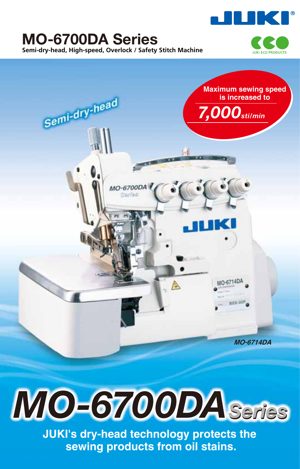

# **MO-6700DA Series Semi-dry-head, High-speed, Overlock / Safety Stitch Machine**





# *MO-6700DASeries*

**JUKI's dry-head technology protects the sewing products from oil stains.**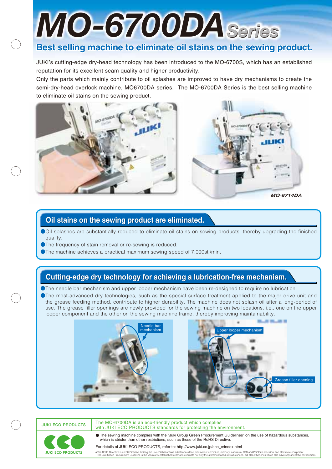# *MO-6700DASeries*

## Best selling machine to eliminate oil stains on the sewing product.

JUKI's cutting-edge dry-head technology has been introduced to the MO-6700S, which has an established reputation for its excellent seam quality and higher productivity.

Only the parts which mainly contribute to oil splashes are improved to have dry mechanisms to create the semi-dry-head overlock machine, MO6700DA series. The MO-6700DA Series is the best selling machine to eliminate oil stains on the sewing product.





## **Oil stains on the sewing product are eliminated. Oil stains on the sewing product are eliminated.**

●Oil splashes are substantially reduced to eliminate oil stains on sewing products, thereby upgrading the finished quality.

●The frequency of stain removal or re-sewing is reduced.

●The machine achieves a practical maximum sewing speed of 7,000sti/min.

## **Cutting-edge dry technology for achieving a lubrication-free mechanism. Cutting-edge dry technology for achieving a lubrication-free mechanism.**

●The needle bar mechanism and upper looper mechanism have been re-designed to require no lubrication.

●The most-advanced dry technologies, such as the special surface treatment applied to the major drive unit and the grease feeding method, contribute to higher durability. The machine does not splash oil after a long-period of use. The grease filler openings are newly provided for the sewing machine on two locations, i.e., one on the upper looper component and the other on the sewing machine frame, thereby improving maintainability.



**JUKI ECO PRODUCTS** The MO-6700DA is an eco-friendly product which complies with JUKI ECO PRODUCTS standards for protecting the environment.



The sewing machine complies with the "Juki Group Green Procurement Guidelines" on the use of hazardous substances, which is stricter than other restrictions, such as those of the RoHS Directive.

For details of JUKI ECO PRODUCTS, refer to: http://www.juki.co.jp/eco\_e/index.html

The RoHS Directive is an EU Directive limiting the use of 6 hazardous substances (lead, hexavelent chronium, mercury, cadmium, PBB and PBDE) in electrical and electronic equipment.<br>The Juki Green Procurement Guideline is t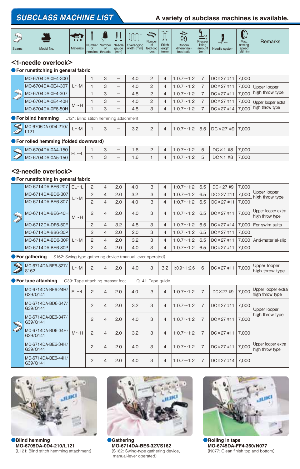## **SUBCLASS MACHINE LIST** A variety of subclass machines is available.



#### **<1-needle overlock>**

#### ●**For runstitching in general fabric**

|    | MO-6704DA-0E4-300 |            |   |   | 4.0 |  | $1:0.7 \sim 1:2$ | $DC \times 27$ #11 | 7,000 |                    |
|----|-------------------|------------|---|---|-----|--|------------------|--------------------|-------|--------------------|
|    | MO-6704DA-0E4-307 | $\sim$ M   | 3 |   | 4.0 |  | $1:0.7 \sim 1:2$ | $DC \times 27$ #11 | 7,000 | Upper looper       |
|    | MO-6704DA-0F4-307 |            | 3 | – | 4.8 |  | $1:0.7 \sim 1:2$ | DC×27 #11          | 7,000 | high throw type    |
| LA | MO-6704DA-0E4-40H | $M \sim H$ | 3 | — | 4.0 |  | $1:0.7 \sim 1:2$ | DC × 27 #11        | 7,000 | Upper looper extra |
|    | MO-6704DA-0F6-50H |            | 3 |   | 4.8 |  | $1:0.7 \sim 1:2$ | $DC \times 27$ #14 | 7,000 | high throw type    |

#### ●**For blind hemming** L121: Blind stitch hemming attachment

|  | MO-6705DA-0D4-210/<br><b>SOUTH AND IN</b><br>LILI<br>$\rightarrow$ | $\sim$<br>$\sim$ M<br>- |  | ๛ |  | $\Omega$<br>ے.ب | $\sim$<br>∸ |  | $\sim$ 1<br>. . <u>.</u><br>$\cdots$ | ວ.ວ | $\cdot$ $\vee$ $2$<br>#9∣<br>$DC \times 27$ | 7,000 |  |
|--|--------------------------------------------------------------------|-------------------------|--|---|--|-----------------|-------------|--|--------------------------------------|-----|---------------------------------------------|-------|--|
|--|--------------------------------------------------------------------|-------------------------|--|---|--|-----------------|-------------|--|--------------------------------------|-----|---------------------------------------------|-------|--|

#### ●**For rolled hemming (folded downward)**

| 50<br>IMO-67<br>'04DA-0A4- | $-$<br>$\sim$<br>⊢ | $\overline{\phantom{0}}$<br>ີ | <b>U.U</b> | ⌒<br>- |   | $\cdot$ $\sim$ | #8          | 7,000 |  |
|----------------------------|--------------------|-------------------------------|------------|--------|---|----------------|-------------|-------|--|
| MO-6704DA-0A5-150          | __<br>-            | $\overline{\phantom{0}}$      | $\cdot$ .  |        | д | $\cdot$ $\sim$ | #8<br>UGX 1 | 000,  |  |

### **<2-needle overlock>**

#### ●**For runstitching in general fabric**

|               | MO-6714DA-BE6-207  | $EL \sim L$ | 2              | 4              | 2.0 | 4.0 | 3 | $\overline{4}$ | $1:0.7 \sim 1:2$ | 6.5 | $DC \times 27 \neq 9$    | 7,000 |                                         |
|---------------|--------------------|-------------|----------------|----------------|-----|-----|---|----------------|------------------|-----|--------------------------|-------|-----------------------------------------|
|               | MO-6714DA-BD6-307  | $~\sim$ M   | $\overline{c}$ | $\overline{4}$ | 2.0 | 3.2 | 3 | 4              | $1:0.7 \sim 1:2$ | 6.5 | $DC \times 27$ #11       | 7.000 | Upper looper<br>high throw type         |
|               | MO-6714DA-BE6-307  |             | 2              | 4              | 2.0 | 4.0 | 3 | 4              | $1:0.7 \sim 1:2$ | 6.5 | $DC \times 27$ #11       | 7.000 |                                         |
| <b>QUINTY</b> | MO-6714DA-BE6-40H  | $M \sim H$  | $\overline{2}$ | 4              | 2.0 | 4.0 | 3 | 4              | $1:0.7 \sim 1:2$ | 6.5 | $DC \times 27$ #11 7.000 |       | Upper looper extra<br>high throw type   |
|               | MO-6712DA-DF6-50F  |             | $\overline{c}$ | 4              | 3.2 | 4.8 | 3 | 4              | $1:0.7 \sim 1:2$ | 6.5 |                          |       | $DC \times 27$ #14 7.000 For swim suits |
|               | MO-6714DA-BB6-30P  |             | 2              | 4              | 2.0 | 2.0 | 3 | 4              | $1:0.7 \sim 1:2$ | 6.5 | $DC \times 27$ #11       | 7.000 |                                         |
|               | MO-6714DA-BD6-30PL | $L \sim M$  | $\mathcal{P}$  | 4              | 2.0 | 3.2 | 3 | 4              | $1:0.7 \sim 1:2$ | 6.5 | $DC \times 27$ #11       | 7,000 | Anti-material-slip                      |
|               | MO-6714DA-BE6-30P  |             | $\overline{c}$ | 4              | 2.0 | 4.0 | 3 | 4              | $1:0.7 \sim 1:2$ | 6.5 | $DC \times 27$ #11       | 7.000 |                                         |

#### **• For gathering** S162: Swing-type gathering device (manual-lever operated)

| .000<br>$DC \times$<br>$~\sim$ M<br>4.U<br>Z.U<br>U.L<br>ن. ب<br>. u<br>$\mathscr{A}$<br>-<br>high<br>throw<br>type<br>ےں ر د<br>$\sim$ |
|-----------------------------------------------------------------------------------------------------------------------------------------|
|-----------------------------------------------------------------------------------------------------------------------------------------|

**• For tape attaching** G39: Tape attaching presser foot Q141: Tape guide

|                 | MO-6714DA-BE6-24H/<br>G39/0141 | $EL \sim L$ | 2              | 4 | 2.0 | 4.0 | 3 | 4              | $1:0.7 \sim 1:2$ | 7              | $DC \times 27 \#9$ | 7,000 | Upper looper extra<br>high throw type |
|-----------------|--------------------------------|-------------|----------------|---|-----|-----|---|----------------|------------------|----------------|--------------------|-------|---------------------------------------|
|                 | MO-6714DA-BD6-347/<br>G39/0141 |             | $\overline{2}$ | 4 | 2.0 | 3.2 | 3 | $\overline{4}$ | $1:0.7 \sim 1:2$ | 7              | $DC \times 27$ #11 | 7.000 | Upper looper                          |
| <b>Camarino</b> | MO-6714DA-BE6-347/<br>G39/0141 |             | $\overline{2}$ | 4 | 2.0 | 4.0 | 3 | 4              | $1:0.7 \sim 1:2$ | 7              | $DC \times 27$ #11 | 7.000 | high throw type                       |
|                 | MO-6714DA-BD6-34H/<br>G39/0141 | $M \sim H$  | $\overline{2}$ | 4 | 2.0 | 3.2 | 3 | $\overline{4}$ | $1:0.7 \sim 1:2$ | 7              | $DC \times 27$ #11 | 7.000 |                                       |
|                 | MO-6714DA-BE6-34H/<br>G39/0141 |             | $\overline{2}$ | 4 | 2.0 | 4.0 | 3 | 4              | $1:0.7 \sim 1:2$ | $\overline{7}$ | $DC \times 27$ #11 | 7,000 | Upper looper extra<br>high throw type |
|                 | MO-6714DA-BE6-44H/<br>G39/0141 |             | $\overline{c}$ | 4 | 2.0 | 4.0 | 3 | 4              | $1:0.7 \sim 1:2$ | 7              | $DC \times 27$ #14 | 7.000 |                                       |



●**Blind hemming MO-6705DA-0D4-210/L121** (L121: Blind stitch hemming attachment)



●**Gathering MO-6714DA-BE6-327/S162** (S162: Swing-type gathering device, manual-lever operated)



●**Rolling in tape MO-6745DA-FF4-360/N077** (N077: Clean finish top and bottom)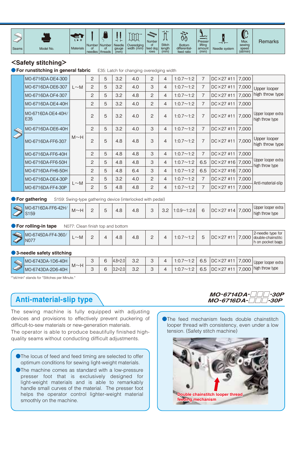

### **<Safety stitching>**

**• For runstitching in general fabric** E35: Latch for changing overedging width

|                 | MO-6716DA-DE4-300         |            | 2              | 5 | 3.2 | 4.0 | 2   | 4 | $1:0.7 \sim 1:2$ | $\overline{7}$   | $DC \times 27$ #11 | 7,000              |                                       |                                 |
|-----------------|---------------------------|------------|----------------|---|-----|-----|-----|---|------------------|------------------|--------------------|--------------------|---------------------------------------|---------------------------------|
|                 | MO-6716DA-DE6-307         | $L \sim M$ | 2              | 5 | 3.2 | 4.0 | 3   | 4 | $1:0.7 \sim 1:2$ | $\overline{7}$   | $DC \times 27$ #11 | 7,000              | Upper looper                          |                                 |
|                 | MO-6716DA-DF4-307         |            | $\overline{2}$ | 5 | 3.2 | 4.8 | 2   | 4 | $1:0.7 \sim 1:2$ | $\overline{7}$   | $DC \times 27$ #11 | 7,000              | high throw type                       |                                 |
|                 | MO-6716DA-DE4-40H         |            | 2              | 5 | 3.2 | 4.0 | 2   | 4 | $1:0.7 \sim 1:2$ | 7                | $DC \times 27$ #11 | 7,000              |                                       |                                 |
|                 | MO-6716DA-DE4-40H/<br>E35 |            | $\overline{2}$ | 5 | 3.2 | 4.0 | 2   | 4 | $1:0.7 \sim 1:2$ | $\overline{7}$   | $DC \times 27$ #11 | 7,000              | Upper looper extra<br>high throw type |                                 |
|                 | MO-6716DA-DE6-40H         |            | 2              | 5 | 3.2 | 4.0 | 3   | 4 | $1:0.7 \sim 1:2$ | $\overline{7}$   | $DC \times 27$ #11 | 7,000              |                                       |                                 |
| <b>Campbell</b> | MO-6716DA-FF6-307         | $M \sim H$ |                | 2 | 5   | 4.8 | 4.8 | 3 | $\overline{4}$   | $1:0.7 \sim 1:2$ | $\overline{7}$     | $DC \times 27$ #11 | 7.000                                 | Upper looper<br>high throw type |
|                 | MO-6716DA-FF6-40H         |            | 2              | 5 | 4.8 | 4.8 | 3   | 4 | $1:0.7 \sim 1:2$ | $\overline{7}$   | $DC \times 27$ #11 | 7,000              |                                       |                                 |
|                 | MO-6716DA-FF6-50H         |            | 2              | 5 | 4.8 | 4.8 | 3   | 4 | $1:0.7 \sim 1:2$ | 6.5              | $DC \times 27$ #16 | 7,000              | Upper looper extra<br>high throw type |                                 |
|                 | MO-6716DA-FH6-50H         |            | 2              | 5 | 4.8 | 6.4 | 3   | 4 | $1:0.7 \sim 1:2$ | 6.5              | $DC \times 27$ #16 | 7,000              |                                       |                                 |
|                 | MO-6716DA-DE4-30P         |            | 2              | 5 | 3.2 | 4.0 | 2   | 4 | $1:0.7 \sim 1:2$ | $\overline{7}$   | $DC \times 27$ #11 | 7,000              | Anti-material-slip                    |                                 |
|                 | MO-6716DA-FF4-30P         | $L \sim M$ | 2              | 5 | 4.8 | 4.8 | 2   | 4 | $1:0.7 \sim 1:2$ | $\overline{7}$   | $DC \times 27$ #11 | 7,000              |                                       |                                 |

#### **• For gathering** S159: Swing-type gathering device (interlocked with pedal)

#### **• For rolling-in tape** N077: Clean finish top and bottom

| $\sim$                          | -<br>____                 | ____           | . |                  |     |          |                                    |  |       |                                                              |
|---------------------------------|---------------------------|----------------|---|------------------|-----|----------|------------------------------------|--|-------|--------------------------------------------------------------|
| $\Rightarrow$<br><b>Control</b> | MO-6745DA-FF4-360/<br>N07 | $~\sim$ M<br>- |   | $\Omega$<br>т. с | 4.8 | <u>_</u> | $\overline{\phantom{a}}$<br>. v. . |  | 7,000 | 2-needle type for<br>  double-chainstitc<br>h on pocket bags |
|                                 |                           |                |   |                  |     |          |                                    |  |       |                                                              |

#### ●**3-needle safety stitching**

|                   |                   | -          |        |                                        |            |                 |                |     |                    |                        |                          |
|-------------------|-------------------|------------|--------|----------------------------------------|------------|-----------------|----------------|-----|--------------------|------------------------|--------------------------|
|                   | MO-6743DA-1D6-40H |            | ⌒<br>๛ | $\cdot$ $\cap$ $\cap$<br>14.8+<br>۰z.u | ר כ<br>ے.ت | ⌒<br>ں          | $\cdot$ .      | 6.5 | $DC \times 27$ #1  | 000.5<br>$\rightarrow$ | extra<br>Upper<br>looper |
| <b>Contractor</b> | MO-6743DA-2D6-40H | $M \sim H$ | $\sim$ | -2.U<br>O.Z                            | ר כ<br>ے.ت | $\sqrt{2}$<br>ں | .<br>$\cdot$ . | 6.5 | $DC \times 27$ #11 | 000                    | high throw type          |

\*"sti/min" stands for "Stitches per Minute."

## **Anti-material-slip type**

The sewing machine is fully equipped with adjusting devices and provisions to effectively prevent puckering of difficult-to-sew materials or new-generation materials. The operator is able to produce beautifully finished highquality seams without conducting difficult adjustments.

- The locus of feed and feed timing are selected to offer optimum conditions for sewing light-weight materials.
- ●The machine comes as standard with a low-pressure presser foot that is exclusively designed for light-weight materials and is able to remarkably handle small curves of the material. The presser foot helps the operator control lighter-weight material smoothly on the machine.

## *MO-6714DA-□□□-30P MO-6716DA-□□□-30P*

The feed mechanism feeds double chainstitch looper thread with consistency, even under a low tension. (Safety stitch machine)

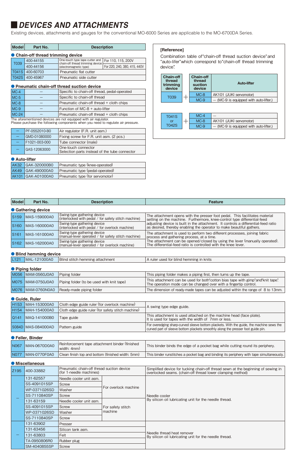## ■*DEVICES AND ATTACHMENTS*

Existing devices, attachments and gauges for the conventional MO-6000 Series are applicable to the MO-6700DA Series.

| Modell       | Part No.                           | <b>Description</b>                                                 |                              |  |  |  |  |  |  |
|--------------|------------------------------------|--------------------------------------------------------------------|------------------------------|--|--|--|--|--|--|
|              | • Chain-off thread trimming device |                                                                    |                              |  |  |  |  |  |  |
| T039         | 400-44155                          | One-touch type tape cutter and<br>chain-off thread trimming device | For 110, 115, 200V           |  |  |  |  |  |  |
|              | 400-44156                          | (electromagnetic type)                                             | For 220, 240, 380, 415, 440V |  |  |  |  |  |  |
| <b>T041S</b> | 400-60703                          | Pneumatic flat cutter                                              |                              |  |  |  |  |  |  |
| <b>T042S</b> | 400-45967                          | Pneumatic side cutter                                              |                              |  |  |  |  |  |  |

#### ● **Pneumatic chain-off thread suction device** MC-4  $MC-5$ MC-8 MC-9 MC-24 - - - - - Specific to chain-off thread, pedal-operated Specific to chain-off thread Pneumatic chain-off thread + cloth chips Function of MC-8 + auto-lifter Pneumatic chain-off thread + cloth chips

The aforementioned devices are not equipped with air regulator. Please purchase the following components when you need to regulate air pressure.

|  | PF-0552010-B0 | Air regulator (F.R. unit asm.)                                       |  |  |  |  |  |
|--|---------------|----------------------------------------------------------------------|--|--|--|--|--|
|  | GMD-01080000  | Fixing screw for F.R. unit asm. (2 pcs.)                             |  |  |  |  |  |
|  | F1021-003-000 | Tube connector (male)                                                |  |  |  |  |  |
|  | GAS-12063000  | One-touch connector<br>Selection parts instead of the tube connector |  |  |  |  |  |

#### ● **Auto-lifter**

|  | AK32 GAK-320000B0  | Pneumatic type (knee-operated)  |
|--|--------------------|---------------------------------|
|  | AK49 GAK-490000A0  | Pneumatic type (pedal-operated) |
|  | AK101 GAK-A01000A0 | Pneumatic type (for servomotor) |

#### **[Reference]**

Combination table of "chain-off thread suction device" and "auto-lifer" which correspond to "chain-off thread trimming device".

| Chain-off<br>thread<br>trimming<br>device |  | <b>Chain-off</b><br>thread<br>suction<br>device | Auto-lifter                            |  |
|-------------------------------------------|--|-------------------------------------------------|----------------------------------------|--|
|                                           |  | $MC-8$                                          | AK101 (JUKI servomotor)                |  |
| T <sub>039</sub>                          |  | $MC-9$                                          | - (MC-9 is equipped with auto-lifter.) |  |
|                                           |  |                                                 |                                        |  |
|                                           |  |                                                 |                                        |  |
| <b>T041S</b><br>or                        |  | $MC-4$<br>$MC-8$                                | AK101 (JUKI servomotor)                |  |

| <b>Model</b>     | Part No.           | <b>Description</b>                                                                  | <b>Feature</b>                                                                                                                                             |  |  |  |  |
|------------------|--------------------|-------------------------------------------------------------------------------------|------------------------------------------------------------------------------------------------------------------------------------------------------------|--|--|--|--|
|                  | ● Gathering device |                                                                                     |                                                                                                                                                            |  |  |  |  |
| S <sub>159</sub> | MAS-159000A0       | Swing-type gathering device<br>(interlocked with pedal / for safety stitch machine) | The attachment opens with the presser foot pedal. This facilitates material<br>setting on the machine. Furthermore, knee-control type differential-feed    |  |  |  |  |
| S <sub>160</sub> | MAS-160000A0       | Swing-type gathering device<br>(interlocked with pedal / for overlock machine)      | adjusting device is built in the attachment. It controls a differential-feed ratio<br>as desired, thereby enabling the operator to make beautiful gathers. |  |  |  |  |
| S <sub>161</sub> | MAS-161000A0       | Swing-type gathering device<br>(manual-lever operated / for safety stitch machine)  | The attachment is used to perform two different processes, joining fabric<br>process and gathering process, at a time.                                     |  |  |  |  |
| S <sub>162</sub> | MAS-162000A0       | Swing-type gathering device<br>(manual-lever operated / for overlock machine)       | The attachment can be opened/closed by using the lever (manually operated).<br>The differential-feed ratio is controlled with the knee lever.              |  |  |  |  |
|                  |                    |                                                                                     |                                                                                                                                                            |  |  |  |  |

● **Blind hemming device**

L121 MAL-121000A0 Blind stitch hemming attachment A ruler used for blind hemming in knits

| <b>U</b> Fibiliy Ivider |                                           |                                                                                                                                                     |  |  |  |
|-------------------------|-------------------------------------------|-----------------------------------------------------------------------------------------------------------------------------------------------------|--|--|--|
| M056  MAM-0560J0A0      | Piping folder                             | This piping folder makes a piping first, then turns up the tape.                                                                                    |  |  |  |
| M075  MAM-0750J0A0      | Piping folder (to be used with knit tape) | This attachment can be used for both cotton bias tape with gimp"and knit tape".<br>The operation mode can be changed over with a fingertip control. |  |  |  |
| M076  MAM-0760N0A0      | Ready-made piping folder                  | The dimension of ready-made tapes can be adjusted within the range of 8 to 13mm.                                                                    |  |  |  |

#### ● **Guide, Ruler**

● **Piping folder**

| H153 MAH-153000A0  | Cloth edge guide ruler (for overlock machine)      | A swing type edge guide.                                                                                                                                                     |  |
|--------------------|----------------------------------------------------|------------------------------------------------------------------------------------------------------------------------------------------------------------------------------|--|
| H154 MAH-154000A0  | Cloth edge guide ruler (for safety stitch machine) |                                                                                                                                                                              |  |
| Q141 MAQ-141000B0  | Tape guide                                         | This attachment is used attached on the machine head (face plate).<br>It is used for tapes with the width of 7mm or less.                                                    |  |
| S084D MAS-084000AD | Pattern guide                                      | For overedging sharp-curved sleeve bottom plackets. With the guide, the machine sews the<br>curved part of sleeve bottom plackets smoothly along the presser foot guide pin. |  |

#### ● **Feller, Binder**

| N067 MAN-0670D0A0 | Reinforcement tape attachment binder (finished<br>width: 4mm) | This binder binds the edge of a pocket bag while cutting round its periphery.            |
|-------------------|---------------------------------------------------------------|------------------------------------------------------------------------------------------|
| NO77 MAN-0770F0A0 | Clean finish top and bottom (finished width: 5mm)             | This binder runstitches a pocket bag and binding its periphery with tape simultaneously. |

#### ● **Miscellaneous**

| Z195 | 400-33882             | Pneumatic chain-off thread suction device<br>(for 1-needle machines) |                                       | Simplified device for tucking chain-off thread sewn at the beginning of sewing in<br>overlocked seams. (chain-off thread lower clamping method) |  |  |
|------|-----------------------|----------------------------------------------------------------------|---------------------------------------|-------------------------------------------------------------------------------------------------------------------------------------------------|--|--|
|      | 131-62557             | Needle cooler unit asm.                                              |                                       |                                                                                                                                                 |  |  |
|      | SS-4091015SP          | Screw                                                                |                                       |                                                                                                                                                 |  |  |
|      | WP-0371026SD          | Washer                                                               | For overlock machine                  |                                                                                                                                                 |  |  |
|      | SS-7110840SP          | Screw                                                                |                                       | Needle cooler                                                                                                                                   |  |  |
|      | 131-63159             | Needle cooler unit asm.                                              |                                       | By silicon oil lubricating unit for the needle thread.                                                                                          |  |  |
|      | SS-4091015SP          | Screw                                                                | For safety stitch<br><b>I</b> machine |                                                                                                                                                 |  |  |
|      | WP-0371026SD          | Washer                                                               |                                       |                                                                                                                                                 |  |  |
|      | SS-7110840SP          | Screw                                                                |                                       |                                                                                                                                                 |  |  |
|      | 131-63902             | Presser                                                              |                                       |                                                                                                                                                 |  |  |
|      | 131-63456             | Silicon tank asm.                                                    |                                       |                                                                                                                                                 |  |  |
|      | 131-63803             | Felt                                                                 |                                       | Needle thread heat remover<br>By silicon oil lubricating unit for the needle thread.                                                            |  |  |
|      | TA-0950806R0          | Rubber plug                                                          |                                       |                                                                                                                                                 |  |  |
|      | SM-4040855SP<br>Screw |                                                                      |                                       |                                                                                                                                                 |  |  |